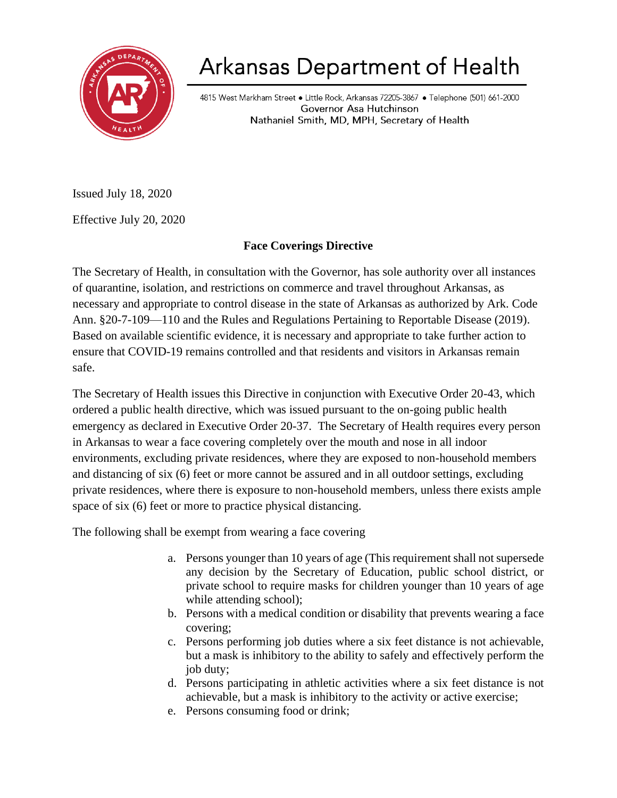

## Arkansas Department of Health

4815 West Markham Street · Little Rock, Arkansas 72205-3867 · Telephone (501) 661-2000 Governor Asa Hutchinson Nathaniel Smith, MD, MPH, Secretary of Health

Issued July 18, 2020

Effective July 20, 2020

## **Face Coverings Directive**

The Secretary of Health, in consultation with the Governor, has sole authority over all instances of quarantine, isolation, and restrictions on commerce and travel throughout Arkansas, as necessary and appropriate to control disease in the state of Arkansas as authorized by Ark. Code Ann. §20-7-109—110 and the Rules and Regulations Pertaining to Reportable Disease (2019). Based on available scientific evidence, it is necessary and appropriate to take further action to ensure that COVID-19 remains controlled and that residents and visitors in Arkansas remain safe.

The Secretary of Health issues this Directive in conjunction with Executive Order 20-43, which ordered a public health directive, which was issued pursuant to the on-going public health emergency as declared in Executive Order 20-37. The Secretary of Health requires every person in Arkansas to wear a face covering completely over the mouth and nose in all indoor environments, excluding private residences, where they are exposed to non-household members and distancing of six (6) feet or more cannot be assured and in all outdoor settings, excluding private residences, where there is exposure to non-household members, unless there exists ample space of six (6) feet or more to practice physical distancing.

The following shall be exempt from wearing a face covering

- a. Persons younger than 10 years of age (This requirement shall not supersede any decision by the Secretary of Education, public school district, or private school to require masks for children younger than 10 years of age while attending school);
- b. Persons with a medical condition or disability that prevents wearing a face covering;
- c. Persons performing job duties where a six feet distance is not achievable, but a mask is inhibitory to the ability to safely and effectively perform the job duty;
- d. Persons participating in athletic activities where a six feet distance is not achievable, but a mask is inhibitory to the activity or active exercise;
- e. Persons consuming food or drink;